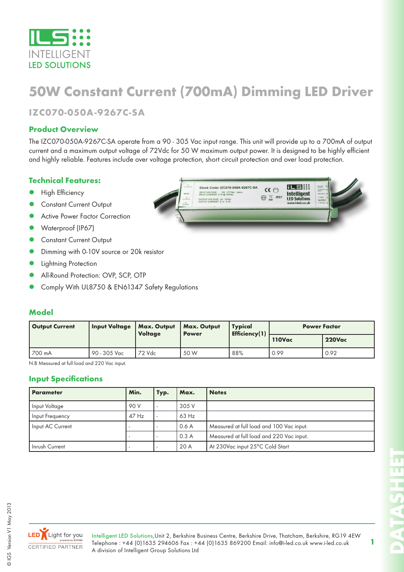

# **50W Constant Current (700mA) Dimming LED Driver**

**IZC070-050A-9267C-SA**

#### **Product Overview**

The IZC070-050A-9267C-SA operate from a 90 - 305 Vac input range. This unit will provide up to a 700mA of output current and a maximum output voltage of 72Vdc for 50 W maximum output power. It is designed to be highly efficient and highly reliable. Features include over voltage protection, short circuit protection and over load protection.

#### **Technical Features:**

- High Efficiency
- **Constant Current Output**
- Active Power Factor Correction
- Waterproof (IP67)
- **Constant Current Output**
- Dimming with 0-10V source or 20k resistor
- Lightning Protection
- All-Round Protection: OVP, SCP, OTP
- Comply With UL8750 & EN61347 Safety Regulations



### **Model**

| <b>Output Current</b> | <b>Input Voltage</b> | <b>Max. Output</b><br><b>Voltage</b> | Max. Output<br><b>Power</b> | <b>Typical</b><br>Efficiency(1) | <b>Power Factor</b> |               |  |
|-----------------------|----------------------|--------------------------------------|-----------------------------|---------------------------------|---------------------|---------------|--|
|                       |                      |                                      |                             |                                 | 110Vac              | <b>220Vac</b> |  |
| 700 mA                | 90 - 305 Vac         | 72 Vdc                               | 50 W                        | 88%                             | 0.99                | 0.92          |  |

N.B Measured at full load and 220 Vac input.

#### **Input Specifications**

| Parameter        | Min.    | Typ. | Max.    | <b>Notes</b>                             |
|------------------|---------|------|---------|------------------------------------------|
| Input Voltage    | 90 V    |      | 305 V   |                                          |
| Input Frequency  | $47$ Hz |      | $63$ Hz |                                          |
| Input AC Current |         |      | 0.6A    | Measured at full load and 100 Vac input. |
|                  |         |      | 0.3A    | Measured at full load and 220 Vac input. |
| Inrush Current   |         |      | 20 A    | At 230Vac input 25°C Cold Start          |

© IGS Version V1 May 2013

IGS Version V1 May 2013

 $\odot$ 

LED Light for you **CERTIFIED PARTNER** 

Intelligent LED Solutions,Unit 2, Berkshire Business Centre, Berkshire Drive, Thatcham, Berkshire, RG19 4EW Telephone : +44 (0)1635 294606 Fax : +44 (0)1635 869200 Email: info@i-led.co.uk www.i-led.co.uk A division of Intelligent Group Solutions Ltd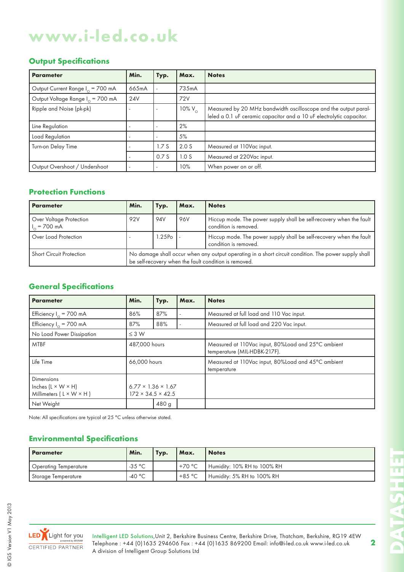### **Output Specifications**

| <b>Parameter</b>                             | Min.  | Typ. | Max.             | <b>Notes</b>                                                                                                                            |
|----------------------------------------------|-------|------|------------------|-----------------------------------------------------------------------------------------------------------------------------------------|
| Output Current Range I <sub>o</sub> = 700 mA | 665mA |      | 735mA            |                                                                                                                                         |
| Output Voltage Range I <sub>o</sub> = 700 mA | 24V   |      | 72V              |                                                                                                                                         |
| Ripple and Noise (pk-pk)                     |       |      | 10% $V_{\odot}$  | Measured by 20 MHz bandwidth oscilloscope and the output paral-<br>leled a 0.1 uF ceramic capacitor and a 10 uF electrolytic capacitor. |
| Line Regulation                              |       |      | 2%               |                                                                                                                                         |
| Load Regulation                              |       |      | 5%               |                                                                                                                                         |
| Turn-on Delay Time                           |       | 1.7S | 2.0 <sub>S</sub> | Measured at 110Vac input.                                                                                                               |
|                                              |       | 0.7S | 1.0 <sub>S</sub> | Measured at 220Vac input.                                                                                                               |
| Output Overshoot / Undershoot                |       |      | 10%              | When power on or off.                                                                                                                   |

### **Protection Functions**

| <b>Parameter</b>                                  | Min.                                                                                                                                                          | Typ.                                                                                                       | Max. | <b>Notes</b>                                                                                 |  |
|---------------------------------------------------|---------------------------------------------------------------------------------------------------------------------------------------------------------------|------------------------------------------------------------------------------------------------------------|------|----------------------------------------------------------------------------------------------|--|
| Over Voltage Protection<br>$\frac{1}{2}$ = 700 mA | 92V                                                                                                                                                           | <b>94V</b>                                                                                                 | 96V  | Hiccup mode. The power supply shall be self-recovery when the fault<br>condition is removed. |  |
| Over Load Protection                              |                                                                                                                                                               | Hiccup mode. The power supply shall be self-recovery when the fault<br>$1.25Po$ .<br>condition is removed. |      |                                                                                              |  |
| <b>Short Circuit Protection</b>                   | No damage shall occur when any output operating in a short circuit condition. The power supply shall<br>be self-recovery when the fault condition is removed. |                                                                                                            |      |                                                                                              |  |

### **General Specifications**

| <b>Parameter</b>                                                                           | Min.          | Typ.                                                            | Max. | <b>Notes</b>                                                                       |  |  |
|--------------------------------------------------------------------------------------------|---------------|-----------------------------------------------------------------|------|------------------------------------------------------------------------------------|--|--|
| Efficiency $I_0 = 700$ mA                                                                  | 86%           | 87%                                                             |      | Measured at full load and 110 Vac input.                                           |  |  |
| Efficiency $I_0 = 700$ mA                                                                  | 87%           | 88%                                                             |      | Measured at full load and 220 Vac input.                                           |  |  |
| No Load Power Dissipation                                                                  | $\leq$ 3 W    |                                                                 |      |                                                                                    |  |  |
| <b>MTBF</b>                                                                                | 487,000 hours |                                                                 |      | Measured at 110Vac input, 80%Load and 25°C ambient<br>temperature (MIL-HDBK-217F). |  |  |
| Life Time                                                                                  | 66,000 hours  |                                                                 |      | Measured at 110Vac input, 80%Load and 45°C ambient<br>temperature                  |  |  |
| <b>Dimensions</b><br>Inches $(L \times W \times H)$<br>Millimeters $(L \times W \times H)$ |               | $6.77 \times 1.36 \times 1.67$<br>$172 \times 34.5 \times 42.5$ |      |                                                                                    |  |  |
| Net Weight                                                                                 |               | 480 g                                                           |      |                                                                                    |  |  |

Note: All specifications are typical at 25 °C unless otherwise stated.

### **Environmental Specifications**

| Parameter             | Min.             | Typ. | Max.      | <b>Notes</b>                |
|-----------------------|------------------|------|-----------|-----------------------------|
| Operating Temperature | $-35 °C$         |      | . +70 °C  | Humidity: 10% RH to 100% RH |
| Storage Temperature   | -40 $^{\circ}$ C |      | $+8.5 °C$ | Humidity: 5% RH to 100% RH  |



П m

**2**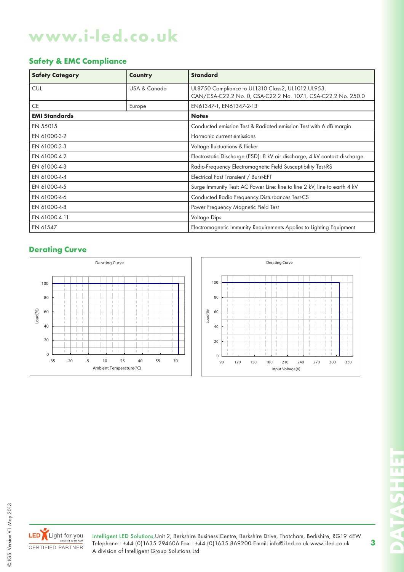## **Safety & EMC Compliance**

| <b>Safety Category</b> | Country      | <b>Standard</b>                                                                                                    |  |  |
|------------------------|--------------|--------------------------------------------------------------------------------------------------------------------|--|--|
| <b>CUL</b>             | USA & Canada | UL8750 Compliance to UL1310 Class2, UL1012 UL953,<br>CAN/CSA-C22.2 No. 0, CSA-C22.2 No. 107.1, CSA-C22.2 No. 250.0 |  |  |
| <b>CE</b>              | Europe       | EN61347-1, EN61347-2-13                                                                                            |  |  |
| <b>EMI Standards</b>   |              | <b>Notes</b>                                                                                                       |  |  |
| EN 55015               |              | Conducted emission Test & Radiated emission Test with 6 dB margin                                                  |  |  |
| EN 61000-3-2           |              | Harmonic current emissions                                                                                         |  |  |
| EN 61000-3-3           |              | Voltage fluctuations & flicker                                                                                     |  |  |
| EN 61000-4-2           |              | Electrostatic Discharge (ESD): 8 kV air discharge, 4 kV contact discharge                                          |  |  |
| EN 61000-4-3           |              | Radio-Frequency Electromagnetic Field Susceptibility Test-RS                                                       |  |  |
| EN 61000-4-4           |              | Electrical Fast Transient / Burst-EFT                                                                              |  |  |
| EN 61000-4-5           |              | Surge Immunity Test: AC Power Line: line to line 2 kV, line to earth 4 kV                                          |  |  |
| EN 61000-4-6           |              | Conducted Radio Frequency Disturbances Test-CS                                                                     |  |  |
| EN 61000-4-8           |              | Power Frequency Magnetic Field Test                                                                                |  |  |
| EN 61000-4-11          |              | Voltage Dips                                                                                                       |  |  |
| EN 61547               |              | Electromagnetic Immunity Requirements Applies to Lighting Equipment                                                |  |  |

### **Derating Curve**







LED Light for you CERTIFIED PARTNER

Intelligent LED Solutions,Unit 2, Berkshire Business Centre, Berkshire Drive, Thatcham, Berkshire, RG19 4EW Telephone : +44 (0)1635 294606 Fax : +44 (0)1635 869200 Email: info@i-led.co.uk www.i-led.co.uk A division of Intelligent Group Solutions Ltd

 $\bigcap$ 

π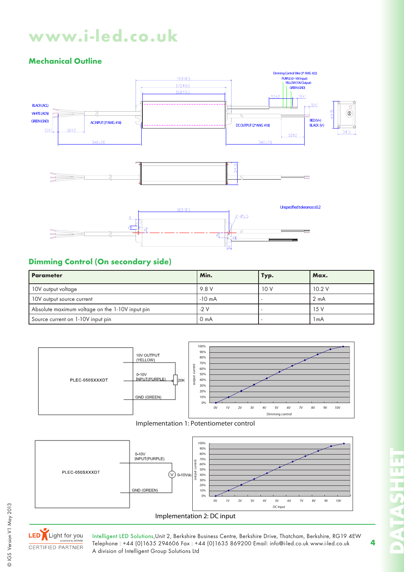# **Mechanical Outline**



# **Dimming Control (On secondary side)**

| <b>Parameter</b>                                | Min.             | Typ. | Max.             |
|-------------------------------------------------|------------------|------|------------------|
| 10V output voltage                              | 9.8 V            | 10V  | 10.2V            |
| 10V output source current                       | $-10 \text{ mA}$ |      | $2 \text{ mA}$   |
| Absolute maximum voltage on the 1-10V input pin | $-2V$            |      | 15V              |
| Source current on 1-10V input pin               | 0 <sub>m</sub> A |      | 1 <sub>m</sub> A |









© IGS Version V1 May 2013

CIGS Version V1 May 2013

Intelligent LED Solutions,Unit 2, Berkshire Business Centre, Berkshire Drive, Thatcham, Berkshire, RG19 4EW Telephone : +44 (0)1635 294606 Fax : +44 (0)1635 869200 Email: info@i-led.co.uk www.i-led.co.uk A division of Intelligent Group Solutions Ltd